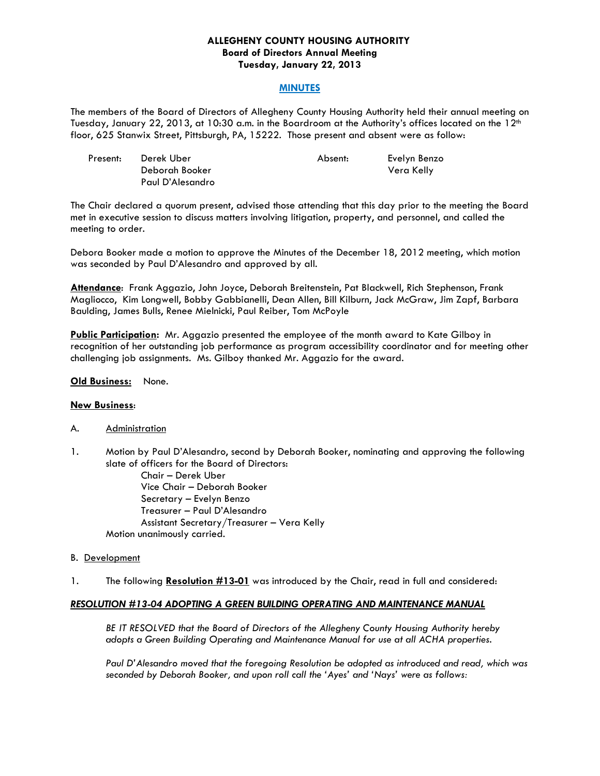## **ALLEGHENY COUNTY HOUSING AUTHORITY Board of Directors Annual Meeting Tuesday, January 22, 2013**

#### **MINUTES**

The members of the Board of Directors of Allegheny County Housing Authority held their annual meeting on Tuesday, January 22, 2013, at 10:30 a.m. in the Boardroom at the Authority's offices located on the 12<sup>th</sup> floor, 625 Stanwix Street, Pittsburgh, PA, 15222. Those present and absent were as follow:

| Present: | Derek Uber       | Absent: | Evelyn Benzo |
|----------|------------------|---------|--------------|
|          | Deborah Booker   |         | Vera Kelly   |
|          | Paul D'Alesandro |         |              |

The Chair declared a quorum present, advised those attending that this day prior to the meeting the Board met in executive session to discuss matters involving litigation, property, and personnel, and called the meeting to order.

Debora Booker made a motion to approve the Minutes of the December 18, 2012 meeting, which motion was seconded by Paul D'Alesandro and approved by all.

**Attendance**: Frank Aggazio, John Joyce, Deborah Breitenstein, Pat Blackwell, Rich Stephenson, Frank Magliocco, Kim Longwell, Bobby Gabbianelli, Dean Allen, Bill Kilburn, Jack McGraw, Jim Zapf, Barbara Baulding, James Bulls, Renee Mielnicki, Paul Reiber, Tom McPoyle

**Public Participation:** Mr. Aggazio presented the employee of the month award to Kate Gilboy in recognition of her outstanding job performance as program accessibility coordinator and for meeting other challenging job assignments. Ms. Gilboy thanked Mr. Aggazio for the award.

#### **Old Business:** None.

## **New Business**:

- A. Administration
- 1. Motion by Paul D'Alesandro, second by Deborah Booker, nominating and approving the following slate of officers for the Board of Directors:

 Chair – Derek Uber Vice Chair – Deborah Booker Secretary – Evelyn Benzo Treasurer – Paul D'Alesandro Assistant Secretary/Treasurer – Vera Kelly Motion unanimously carried.

- B. Development
- 1. The following **Resolution #13-01** was introduced by the Chair, read in full and considered:

## *RESOLUTION #13-04 ADOPTING A GREEN BUILDING OPERATING AND MAINTENANCE MANUAL*

*BE IT RESOLVED that the Board of Directors of the Allegheny County Housing Authority hereby adopts a Green Building Operating and Maintenance Manual for use at all ACHA properties.* 

*Paul D'Alesandro moved that the foregoing Resolution be adopted as introduced and read, which was seconded by Deborah Booker, and upon roll call the 'Ayes' and 'Nays' were as follows:*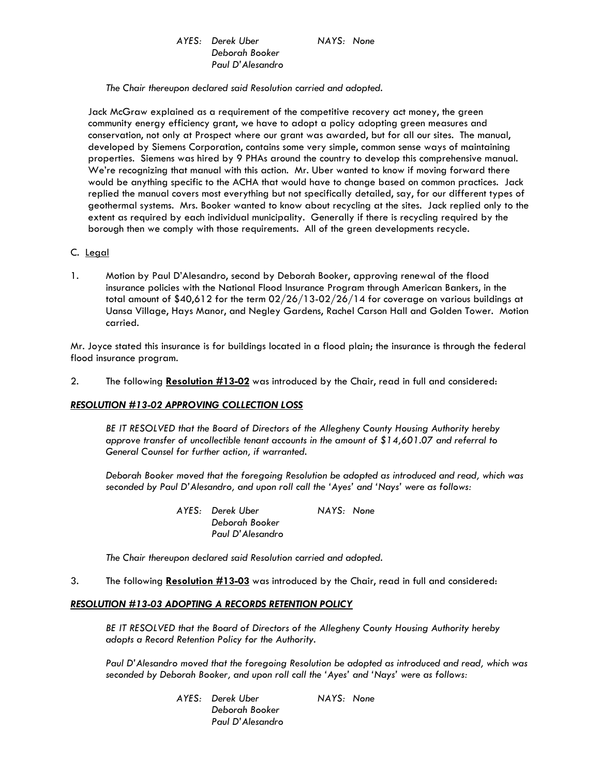# *AYES: Derek Uber NAYS: None Deborah Booker Paul D'Alesandro*

 *The Chair thereupon declared said Resolution carried and adopted.* 

Jack McGraw explained as a requirement of the competitive recovery act money, the green community energy efficiency grant, we have to adopt a policy adopting green measures and conservation, not only at Prospect where our grant was awarded, but for all our sites. The manual, developed by Siemens Corporation, contains some very simple, common sense ways of maintaining properties. Siemens was hired by 9 PHAs around the country to develop this comprehensive manual. We're recognizing that manual with this action. Mr. Uber wanted to know if moving forward there would be anything specific to the ACHA that would have to change based on common practices. Jack replied the manual covers most everything but not specifically detailed, say, for our different types of geothermal systems. Mrs. Booker wanted to know about recycling at the sites. Jack replied only to the extent as required by each individual municipality. Generally if there is recycling required by the borough then we comply with those requirements. All of the green developments recycle.

#### C. Legal

1. Motion by Paul D'Alesandro, second by Deborah Booker, approving renewal of the flood insurance policies with the National Flood Insurance Program through American Bankers, in the total amount of \$40,612 for the term 02/26/13-02/26/14 for coverage on various buildings at Uansa Village, Hays Manor, and Negley Gardens, Rachel Carson Hall and Golden Tower. Motion carried.

Mr. Joyce stated this insurance is for buildings located in a flood plain; the insurance is through the federal flood insurance program.

2. The following **Resolution #13-02** was introduced by the Chair, read in full and considered:

#### *RESOLUTION #13-02 APPROVING COLLECTION LOSS*

 *BE IT RESOLVED that the Board of Directors of the Allegheny County Housing Authority hereby approve transfer of uncollectible tenant accounts in the amount of \$14,601.07 and referral to General Counsel for further action, if warranted.* 

*Deborah Booker moved that the foregoing Resolution be adopted as introduced and read, which was seconded by Paul D'Alesandro, and upon roll call the 'Ayes' and 'Nays' were as follows:* 

> *AYES: Derek Uber NAYS: None Deborah Booker Paul D'Alesandro*

 *The Chair thereupon declared said Resolution carried and adopted.* 

3. The following **Resolution #13-03** was introduced by the Chair, read in full and considered:

## *RESOLUTION #13-03 ADOPTING A RECORDS RETENTION POLICY*

*BE IT RESOLVED that the Board of Directors of the Allegheny County Housing Authority hereby adopts a Record Retention Policy for the Authority.* 

*Paul D'Alesandro moved that the foregoing Resolution be adopted as introduced and read, which was seconded by Deborah Booker, and upon roll call the 'Ayes' and 'Nays' were as follows:* 

> *AYES: Derek Uber NAYS: None Deborah Booker Paul D'Alesandro*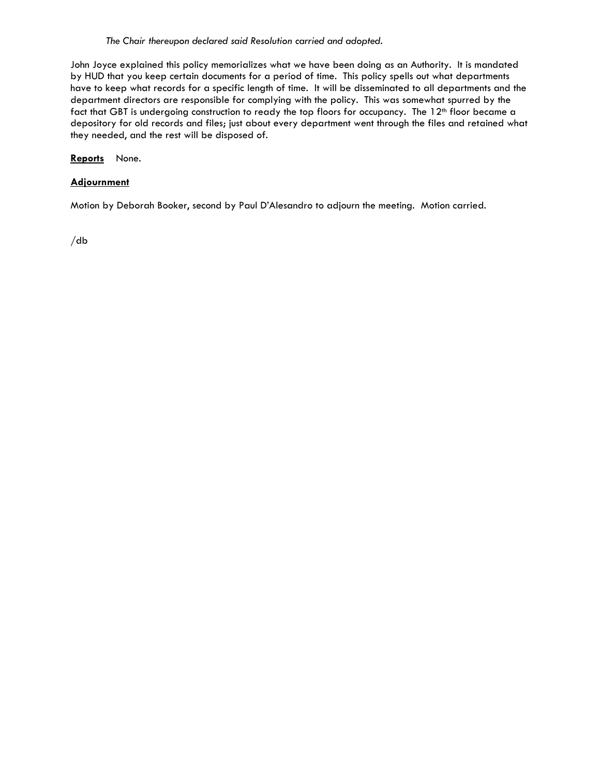*The Chair thereupon declared said Resolution carried and adopted.* 

John Joyce explained this policy memorializes what we have been doing as an Authority. It is mandated by HUD that you keep certain documents for a period of time. This policy spells out what departments have to keep what records for a specific length of time. It will be disseminated to all departments and the department directors are responsible for complying with the policy. This was somewhat spurred by the fact that GBT is undergoing construction to ready the top floors for occupancy. The 12<sup>th</sup> floor became a depository for old records and files; just about every department went through the files and retained what they needed, and the rest will be disposed of.

**Reports** None.

## **Adjournment**

Motion by Deborah Booker, second by Paul D'Alesandro to adjourn the meeting. Motion carried.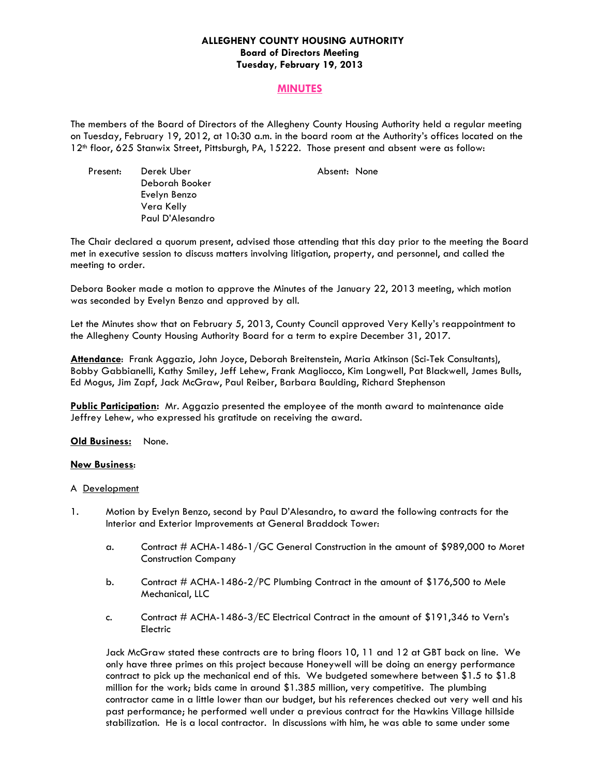## **ALLEGHENY COUNTY HOUSING AUTHORITY Board of Directors Meeting Tuesday, February 19, 2013**

# **MINUTES**

The members of the Board of Directors of the Allegheny County Housing Authority held a regular meeting on Tuesday, February 19, 2012, at 10:30 a.m. in the board room at the Authority's offices located on the 12th floor, 625 Stanwix Street, Pittsburgh, PA, 15222. Those present and absent were as follow:

Present: Derek Uber **Absent: None**  Deborah Booker Evelyn Benzo Vera Kelly Paul D'Alesandro

The Chair declared a quorum present, advised those attending that this day prior to the meeting the Board met in executive session to discuss matters involving litigation, property, and personnel, and called the meeting to order.

Debora Booker made a motion to approve the Minutes of the January 22, 2013 meeting, which motion was seconded by Evelyn Benzo and approved by all.

Let the Minutes show that on February 5, 2013, County Council approved Very Kelly's reappointment to the Allegheny County Housing Authority Board for a term to expire December 31, 2017.

**Attendance**: Frank Aggazio, John Joyce, Deborah Breitenstein, Maria Atkinson (Sci-Tek Consultants), Bobby Gabbianelli, Kathy Smiley, Jeff Lehew, Frank Magliocco, Kim Longwell, Pat Blackwell, James Bulls, Ed Mogus, Jim Zapf, Jack McGraw, Paul Reiber, Barbara Baulding, Richard Stephenson

**Public Participation:** Mr. Aggazio presented the employee of the month award to maintenance aide Jeffrey Lehew, who expressed his gratitude on receiving the award.

## **Old Business:** None.

## **New Business**:

#### A Development

- 1. Motion by Evelyn Benzo, second by Paul D'Alesandro, to award the following contracts for the Interior and Exterior Improvements at General Braddock Tower:
	- a. Contract # ACHA-1486-1/GC General Construction in the amount of \$989,000 to Moret Construction Company
	- b. Contract # ACHA-1486-2/PC Plumbing Contract in the amount of \$176,500 to Mele Mechanical, LLC
	- c. Contract # ACHA-1486-3/EC Electrical Contract in the amount of \$191,346 to Vern's Electric

Jack McGraw stated these contracts are to bring floors 10, 11 and 12 at GBT back on line. We only have three primes on this project because Honeywell will be doing an energy performance contract to pick up the mechanical end of this. We budgeted somewhere between \$1.5 to \$1.8 million for the work; bids came in around \$1.385 million, very competitive. The plumbing contractor came in a little lower than our budget, but his references checked out very well and his past performance; he performed well under a previous contract for the Hawkins Village hillside stabilization. He is a local contractor. In discussions with him, he was able to same under some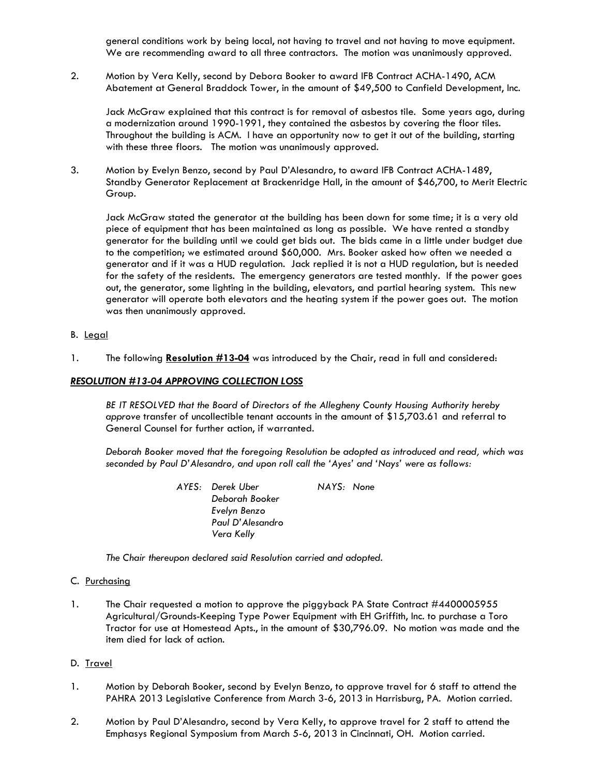general conditions work by being local, not having to travel and not having to move equipment. We are recommending award to all three contractors. The motion was unanimously approved.

2. Motion by Vera Kelly, second by Debora Booker to award IFB Contract ACHA-1490, ACM Abatement at General Braddock Tower, in the amount of \$49,500 to Canfield Development, Inc.

 Jack McGraw explained that this contract is for removal of asbestos tile. Some years ago, during a modernization around 1990-1991, they contained the asbestos by covering the floor tiles. Throughout the building is ACM. I have an opportunity now to get it out of the building, starting with these three floors. The motion was unanimously approved.

3. Motion by Evelyn Benzo, second by Paul D'Alesandro, to award IFB Contract ACHA-1489, Standby Generator Replacement at Brackenridge Hall, in the amount of \$46,700, to Merit Electric Group.

 Jack McGraw stated the generator at the building has been down for some time; it is a very old piece of equipment that has been maintained as long as possible. We have rented a standby generator for the building until we could get bids out. The bids came in a little under budget due to the competition; we estimated around \$60,000. Mrs. Booker asked how often we needed a generator and if it was a HUD regulation. Jack replied it is not a HUD regulation, but is needed for the safety of the residents. The emergency generators are tested monthly. If the power goes out, the generator, some lighting in the building, elevators, and partial hearing system. This new generator will operate both elevators and the heating system if the power goes out. The motion was then unanimously approved.

## B. Legal

1. The following **Resolution #13-04** was introduced by the Chair, read in full and considered:

#### *RESOLUTION #13-04 APPROVING COLLECTION LOSS*

 *BE IT RESOLVED that the Board of Directors of the Allegheny County Housing Authority hereby approve* transfer of uncollectible tenant accounts in the amount of \$15,703.61 and referral to General Counsel for further action, if warranted.

*Deborah Booker moved that the foregoing Resolution be adopted as introduced and read, which was seconded by Paul D'Alesandro, and upon roll call the 'Ayes' and 'Nays' were as follows:* 

> *AYES: Derek Uber NAYS: None Deborah Booker Evelyn Benzo Paul D'Alesandro Vera Kelly*

 *The Chair thereupon declared said Resolution carried and adopted.* 

#### C. Purchasing

1. The Chair requested a motion to approve the piggyback PA State Contract #4400005955 Agricultural/Grounds-Keeping Type Power Equipment with EH Griffith, Inc. to purchase a Toro Tractor for use at Homestead Apts., in the amount of \$30,796.09. No motion was made and the item died for lack of action.

## D. Travel

- 1. Motion by Deborah Booker, second by Evelyn Benzo, to approve travel for 6 staff to attend the PAHRA 2013 Legislative Conference from March 3-6, 2013 in Harrisburg, PA. Motion carried.
- 2. Motion by Paul D'Alesandro, second by Vera Kelly, to approve travel for 2 staff to attend the Emphasys Regional Symposium from March 5-6, 2013 in Cincinnati, OH. Motion carried.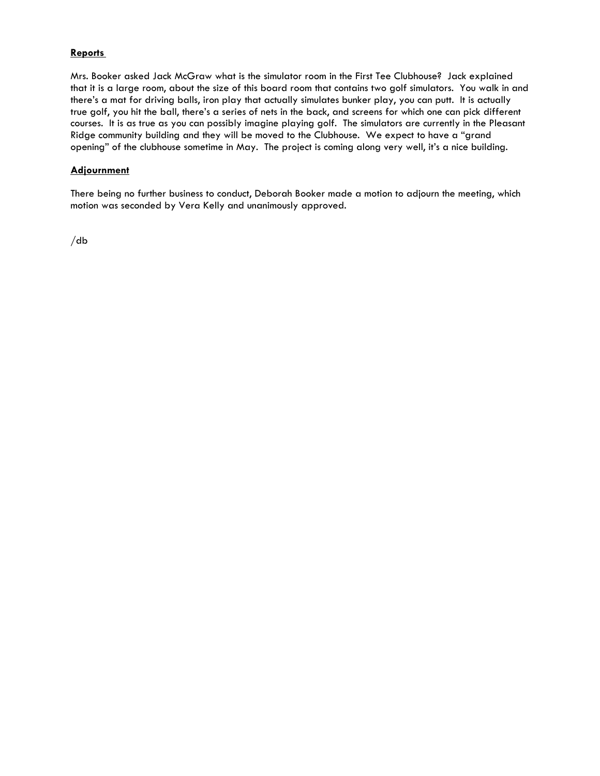# **Reports**

Mrs. Booker asked Jack McGraw what is the simulator room in the First Tee Clubhouse? Jack explained that it is a large room, about the size of this board room that contains two golf simulators. You walk in and there's a mat for driving balls, iron play that actually simulates bunker play, you can putt. It is actually true golf, you hit the ball, there's a series of nets in the back, and screens for which one can pick different courses. It is as true as you can possibly imagine playing golf. The simulators are currently in the Pleasant Ridge community building and they will be moved to the Clubhouse. We expect to have a "grand opening" of the clubhouse sometime in May. The project is coming along very well, it's a nice building.

# **Adjournment**

There being no further business to conduct, Deborah Booker made a motion to adjourn the meeting, which motion was seconded by Vera Kelly and unanimously approved.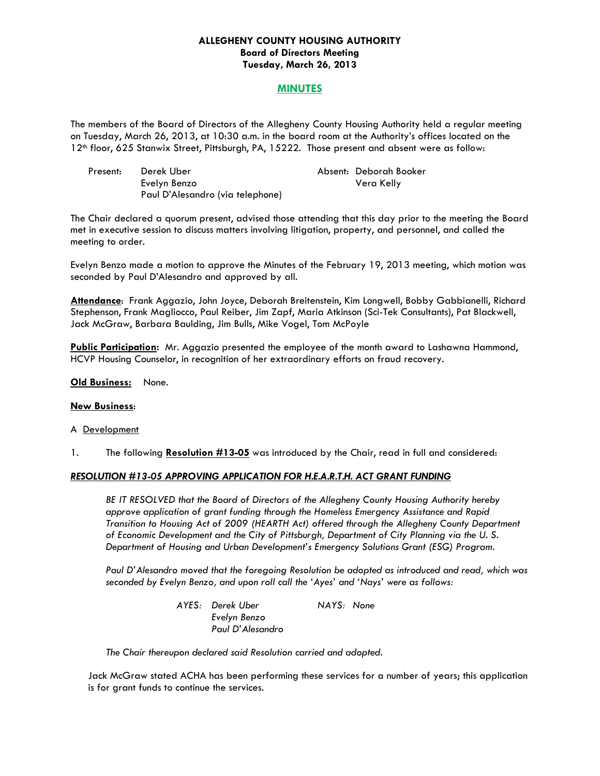## **ALLEGHENY COUNTY HOUSING AUTHORITY Board of Directors Meeting Tuesday, March 26, 2013**

# **MINUTES**

The members of the Board of Directors of the Allegheny County Housing Authority held a regular meeting on Tuesday, March 26, 2013, at 10:30 a.m. in the board room at the Authority's offices located on the 12th floor, 625 Stanwix Street, Pittsburgh, PA, 15222. Those present and absent were as follow:

| Present: | Derek Uber                       | Absent: Deborah Booker |
|----------|----------------------------------|------------------------|
|          | Evelyn Benzo                     | Vera Kelly             |
|          | Paul D'Alesandro (via telephone) |                        |

The Chair declared a quorum present, advised those attending that this day prior to the meeting the Board met in executive session to discuss matters involving litigation, property, and personnel, and called the meeting to order.

Evelyn Benzo made a motion to approve the Minutes of the February 19, 2013 meeting, which motion was seconded by Paul D'Alesandro and approved by all.

**Attendance**: Frank Aggazio, John Joyce, Deborah Breitenstein, Kim Longwell, Bobby Gabbianelli, Richard Stephenson, Frank Magliocco, Paul Reiber, Jim Zapf, Maria Atkinson (Sci-Tek Consultants), Pat Blackwell, Jack McGraw, Barbara Baulding, Jim Bulls, Mike Vogel, Tom McPoyle

**Public Participation:** Mr. Aggazio presented the employee of the month award to Lashawna Hammond, HCVP Housing Counselor, in recognition of her extraordinary efforts on fraud recovery.

#### **Old Business:** None.

## **New Business**:

#### A Development

1. The following **Resolution #13-05** was introduced by the Chair, read in full and considered:

## *RESOLUTION #13-05 APPROVING APPLICATION FOR H.E.A.R.T.H. ACT GRANT FUNDING*

 *BE IT RESOLVED that the Board of Directors of the Allegheny County Housing Authority hereby approve application of grant funding through the Homeless Emergency Assistance and Rapid Transition to Housing Act of 2009 (HEARTH Act) offered through the Allegheny County Department of Economic Development and the City of Pittsburgh, Department of City Planning via the U. S. Department of Housing and Urban Development's Emergency Solutions Grant (ESG) Program.* 

*Paul D'Alesandro moved that the foregoing Resolution be adopted as introduced and read, which was seconded by Evelyn Benzo, and upon roll call the 'Ayes' and 'Nays' were as follows:* 

> *AYES: Derek Uber NAYS: None Evelyn Benzo Paul D'Alesandro*

 *The Chair thereupon declared said Resolution carried and adopted.* 

Jack McGraw stated ACHA has been performing these services for a number of years; this application is for grant funds to continue the services.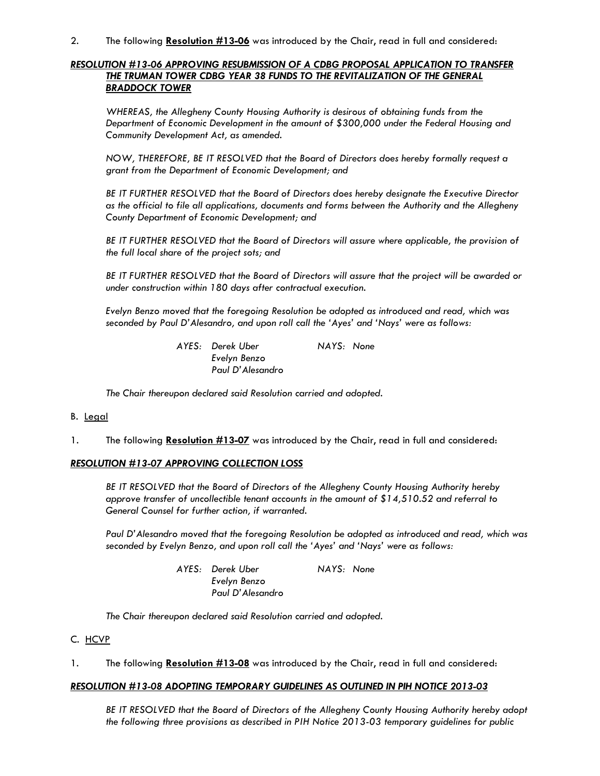2. The following **Resolution #13-06** was introduced by the Chair, read in full and considered:

## *RESOLUTION #13-06 APPROVING RESUBMISSION OF A CDBG PROPOSAL APPLICATION TO TRANSFER THE TRUMAN TOWER CDBG YEAR 38 FUNDS TO THE REVITALIZATION OF THE GENERAL BRADDOCK TOWER*

 *WHEREAS, the Allegheny County Housing Authority is desirous of obtaining funds from the Department of Economic Development in the amount of \$300,000 under the Federal Housing and Community Development Act, as amended.* 

 *NOW, THEREFORE, BE IT RESOLVED that the Board of Directors does hereby formally request a grant from the Department of Economic Development; and* 

 *BE IT FURTHER RESOLVED that the Board of Directors does hereby designate the Executive Director as the official to file all applications, documents and forms between the Authority and the Allegheny County Department of Economic Development; and* 

 *BE IT FURTHER RESOLVED that the Board of Directors will assure where applicable, the provision of the full local share of the project sots; and* 

 *BE IT FURTHER RESOLVED that the Board of Directors will assure that the project will be awarded or under construction within 180 days after contractual execution.* 

*Evelyn Benzo moved that the foregoing Resolution be adopted as introduced and read, which was seconded by Paul D'Alesandro, and upon roll call the 'Ayes' and 'Nays' were as follows:* 

> *AYES: Derek Uber NAYS: None Evelyn Benzo Paul D'Alesandro*

 *The Chair thereupon declared said Resolution carried and adopted.* 

## B. Legal

1. The following **Resolution #13-07** was introduced by the Chair, read in full and considered:

## *RESOLUTION #13-07 APPROVING COLLECTION LOSS*

 *BE IT RESOLVED that the Board of Directors of the Allegheny County Housing Authority hereby approve transfer of uncollectible tenant accounts in the amount of \$14,510.52 and referral to General Counsel for further action, if warranted.* 

*Paul D'Alesandro moved that the foregoing Resolution be adopted as introduced and read, which was seconded by Evelyn Benzo, and upon roll call the 'Ayes' and 'Nays' were as follows:* 

| AYES: Derek Uber | NAYS: None |
|------------------|------------|
| Evelyn Benzo     |            |
| Paul D'Alesandro |            |

 *The Chair thereupon declared said Resolution carried and adopted.* 

#### C. HCVP

1. The following **Resolution #13-08** was introduced by the Chair, read in full and considered:

## *RESOLUTION #13-08 ADOPTING TEMPORARY GUIDELINES AS OUTLINED IN PIH NOTICE 2013-03*

*BE IT RESOLVED that the Board of Directors of the Allegheny County Housing Authority hereby adopt the following three provisions as described in PIH Notice 2013-03 temporary guidelines for public*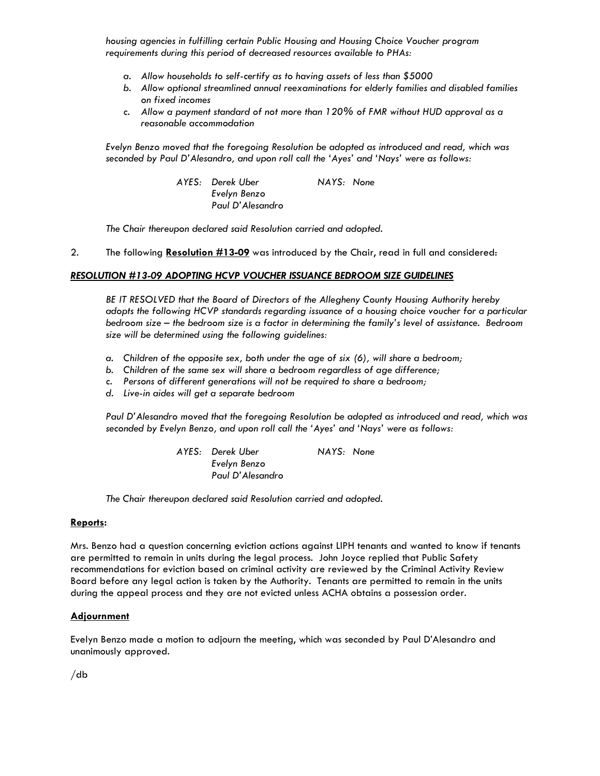*housing agencies in fulfilling certain Public Housing and Housing Choice Voucher program requirements during this period of decreased resources available to PHAs:* 

- *a. Allow households to self-certify as to having assets of less than \$5000*
- *b. Allow optional streamlined annual reexaminations for elderly families and disabled families on fixed incomes*
- *c. Allow a payment standard of not more than 120% of FMR without HUD approval as a reasonable accommodation*

*Evelyn Benzo moved that the foregoing Resolution be adopted as introduced and read, which was seconded by Paul D'Alesandro, and upon roll call the 'Ayes' and 'Nays' were as follows:* 

> *AYES: Derek Uber NAYS: None Evelyn Benzo Paul D'Alesandro*

 *The Chair thereupon declared said Resolution carried and adopted.* 

2. The following **Resolution #13-09** was introduced by the Chair, read in full and considered:

#### *RESOLUTION #13-09 ADOPTING HCVP VOUCHER ISSUANCE BEDROOM SIZE GUIDELINES*

 *BE IT RESOLVED that the Board of Directors of the Allegheny County Housing Authority hereby adopts the following HCVP standards regarding issuance of a housing choice voucher for a particular bedroom size – the bedroom size is a factor in determining the family's level of assistance. Bedroom size will be determined using the following guidelines:* 

- *a. Children of the opposite sex, both under the age of six (6), will share a bedroom;*
- *b. Children of the same sex will share a bedroom regardless of age difference;*
- *c. Persons of different generations will not be required to share a bedroom;*
- *d. Live-in aides will get a separate bedroom*

*Paul D'Alesandro moved that the foregoing Resolution be adopted as introduced and read, which was seconded by Evelyn Benzo, and upon roll call the 'Ayes' and 'Nays' were as follows:* 

> *AYES: Derek Uber NAYS: None Evelyn Benzo Paul D'Alesandro*

 *The Chair thereupon declared said Resolution carried and adopted.* 

#### **Reports:**

Mrs. Benzo had a question concerning eviction actions against LIPH tenants and wanted to know if tenants are permitted to remain in units during the legal process. John Joyce replied that Public Safety recommendations for eviction based on criminal activity are reviewed by the Criminal Activity Review Board before any legal action is taken by the Authority. Tenants are permitted to remain in the units during the appeal process and they are not evicted unless ACHA obtains a possession order.

## **Adjournment**

Evelyn Benzo made a motion to adjourn the meeting, which was seconded by Paul D'Alesandro and unanimously approved.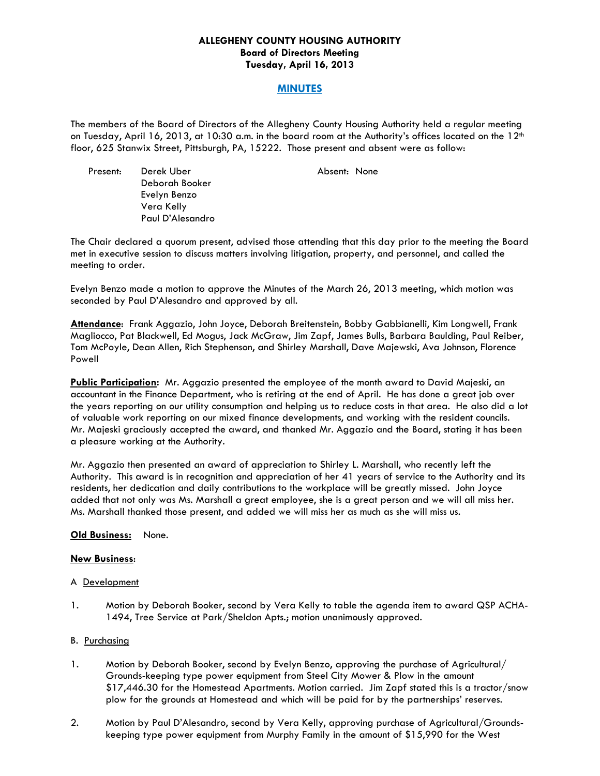## **ALLEGHENY COUNTY HOUSING AUTHORITY Board of Directors Meeting Tuesday, April 16, 2013**

# **MINUTES**

The members of the Board of Directors of the Allegheny County Housing Authority held a regular meeting on Tuesday, April 16, 2013, at 10:30 a.m. in the board room at the Authority's offices located on the 12<sup>th</sup> floor, 625 Stanwix Street, Pittsburgh, PA, 15222. Those present and absent were as follow:

Present: Derek Uber **Absent: None**  Deborah Booker Evelyn Benzo Vera Kelly Paul D'Alesandro

The Chair declared a quorum present, advised those attending that this day prior to the meeting the Board met in executive session to discuss matters involving litigation, property, and personnel, and called the meeting to order.

Evelyn Benzo made a motion to approve the Minutes of the March 26, 2013 meeting, which motion was seconded by Paul D'Alesandro and approved by all.

**Attendance**: Frank Aggazio, John Joyce, Deborah Breitenstein, Bobby Gabbianelli, Kim Longwell, Frank Magliocco, Pat Blackwell, Ed Mogus, Jack McGraw, Jim Zapf, James Bulls, Barbara Baulding, Paul Reiber, Tom McPoyle, Dean Allen, Rich Stephenson, and Shirley Marshall, Dave Majewski, Ava Johnson, Florence Powell

**Public Participation:** Mr. Aggazio presented the employee of the month award to David Majeski, an accountant in the Finance Department, who is retiring at the end of April. He has done a great job over the years reporting on our utility consumption and helping us to reduce costs in that area. He also did a lot of valuable work reporting on our mixed finance developments, and working with the resident councils. Mr. Majeski graciously accepted the award, and thanked Mr. Aggazio and the Board, stating it has been a pleasure working at the Authority.

Mr. Aggazio then presented an award of appreciation to Shirley L. Marshall, who recently left the Authority. This award is in recognition and appreciation of her 41 years of service to the Authority and its residents, her dedication and daily contributions to the workplace will be greatly missed. John Joyce added that not only was Ms. Marshall a great employee, she is a great person and we will all miss her. Ms. Marshall thanked those present, and added we will miss her as much as she will miss us.

## **Old Business:** None.

## **New Business**:

#### A Development

1. Motion by Deborah Booker, second by Vera Kelly to table the agenda item to award QSP ACHA-1494, Tree Service at Park/Sheldon Apts.; motion unanimously approved.

## B. Purchasing

- 1. Motion by Deborah Booker, second by Evelyn Benzo, approving the purchase of Agricultural/ Grounds-keeping type power equipment from Steel City Mower & Plow in the amount \$17,446.30 for the Homestead Apartments. Motion carried. Jim Zapf stated this is a tractor/snow plow for the grounds at Homestead and which will be paid for by the partnerships' reserves.
- 2. Motion by Paul D'Alesandro, second by Vera Kelly, approving purchase of Agricultural/Groundskeeping type power equipment from Murphy Family in the amount of \$15,990 for the West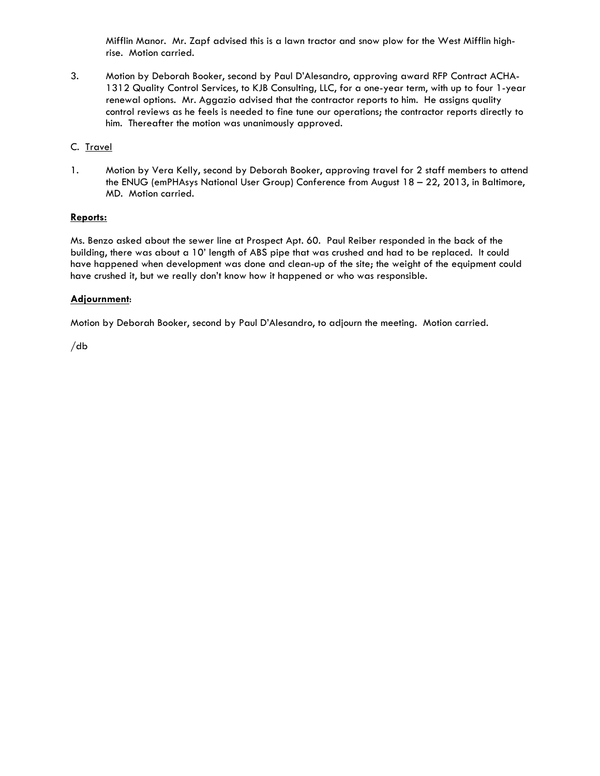Mifflin Manor. Mr. Zapf advised this is a lawn tractor and snow plow for the West Mifflin highrise. Motion carried.

3. Motion by Deborah Booker, second by Paul D'Alesandro, approving award RFP Contract ACHA-1312 Quality Control Services, to KJB Consulting, LLC, for a one-year term, with up to four 1-year renewal options. Mr. Aggazio advised that the contractor reports to him. He assigns quality control reviews as he feels is needed to fine tune our operations; the contractor reports directly to him. Thereafter the motion was unanimously approved.

# C. Travel

1. Motion by Vera Kelly, second by Deborah Booker, approving travel for 2 staff members to attend the ENUG (emPHAsys National User Group) Conference from August 18 – 22, 2013, in Baltimore, MD. Motion carried.

# **Reports:**

Ms. Benzo asked about the sewer line at Prospect Apt. 60. Paul Reiber responded in the back of the building, there was about a 10' length of ABS pipe that was crushed and had to be replaced. It could have happened when development was done and clean-up of the site; the weight of the equipment could have crushed it, but we really don't know how it happened or who was responsible.

# **Adjournment**:

Motion by Deborah Booker, second by Paul D'Alesandro, to adjourn the meeting. Motion carried.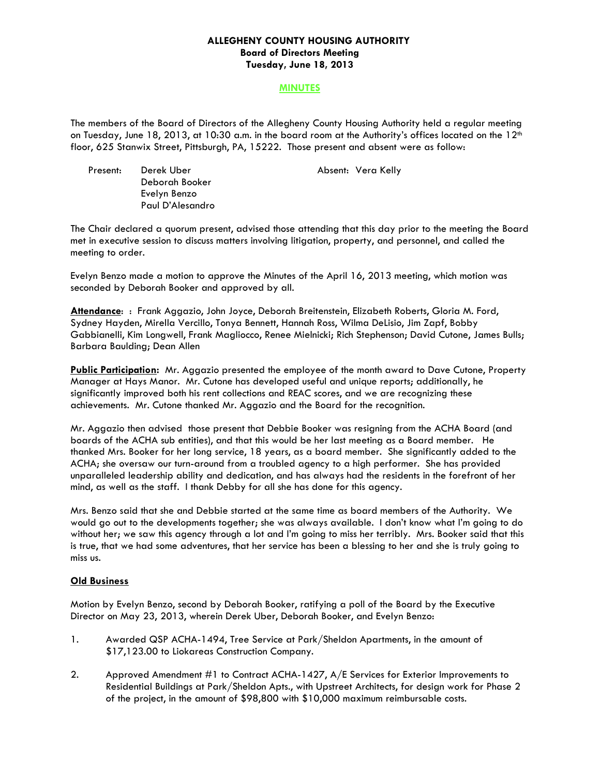## **ALLEGHENY COUNTY HOUSING AUTHORITY Board of Directors Meeting Tuesday, June 18, 2013**

#### **MINUTES**

The members of the Board of Directors of the Allegheny County Housing Authority held a regular meeting on Tuesday, June 18, 2013, at 10:30 a.m. in the board room at the Authority's offices located on the 12<sup>th</sup> floor, 625 Stanwix Street, Pittsburgh, PA, 15222. Those present and absent were as follow:

Present: Derek Uber Absent: Vera Kelly Deborah Booker Evelyn Benzo Paul D'Alesandro

The Chair declared a quorum present, advised those attending that this day prior to the meeting the Board met in executive session to discuss matters involving litigation, property, and personnel, and called the meeting to order.

Evelyn Benzo made a motion to approve the Minutes of the April 16, 2013 meeting, which motion was seconded by Deborah Booker and approved by all.

**Attendance**: : Frank Aggazio, John Joyce, Deborah Breitenstein, Elizabeth Roberts, Gloria M. Ford, Sydney Hayden, Mirella Vercillo, Tonya Bennett, Hannah Ross, Wilma DeLisio, Jim Zapf, Bobby Gabbianelli, Kim Longwell, Frank Magliocco, Renee Mielnicki; Rich Stephenson; David Cutone, James Bulls; Barbara Baulding; Dean Allen

**Public Participation:** Mr. Aggazio presented the employee of the month award to Dave Cutone, Property Manager at Hays Manor. Mr. Cutone has developed useful and unique reports; additionally, he significantly improved both his rent collections and REAC scores, and we are recognizing these achievements. Mr. Cutone thanked Mr. Aggazio and the Board for the recognition.

Mr. Aggazio then advised those present that Debbie Booker was resigning from the ACHA Board (and boards of the ACHA sub entities), and that this would be her last meeting as a Board member. He thanked Mrs. Booker for her long service, 18 years, as a board member. She significantly added to the ACHA; she oversaw our turn-around from a troubled agency to a high performer. She has provided unparalleled leadership ability and dedication, and has always had the residents in the forefront of her mind, as well as the staff. I thank Debby for all she has done for this agency.

Mrs. Benzo said that she and Debbie started at the same time as board members of the Authority. We would go out to the developments together; she was always available. I don't know what I'm going to do without her; we saw this agency through a lot and I'm going to miss her terribly. Mrs. Booker said that this is true, that we had some adventures, that her service has been a blessing to her and she is truly going to miss us.

## **Old Business**

Motion by Evelyn Benzo, second by Deborah Booker, ratifying a poll of the Board by the Executive Director on May 23, 2013, wherein Derek Uber, Deborah Booker, and Evelyn Benzo:

- 1. Awarded QSP ACHA-1494, Tree Service at Park/Sheldon Apartments, in the amount of \$17,123.00 to Liokareas Construction Company.
- 2. Approved Amendment #1 to Contract ACHA-1427, A/E Services for Exterior Improvements to Residential Buildings at Park/Sheldon Apts., with Upstreet Architects, for design work for Phase 2 of the project, in the amount of \$98,800 with \$10,000 maximum reimbursable costs.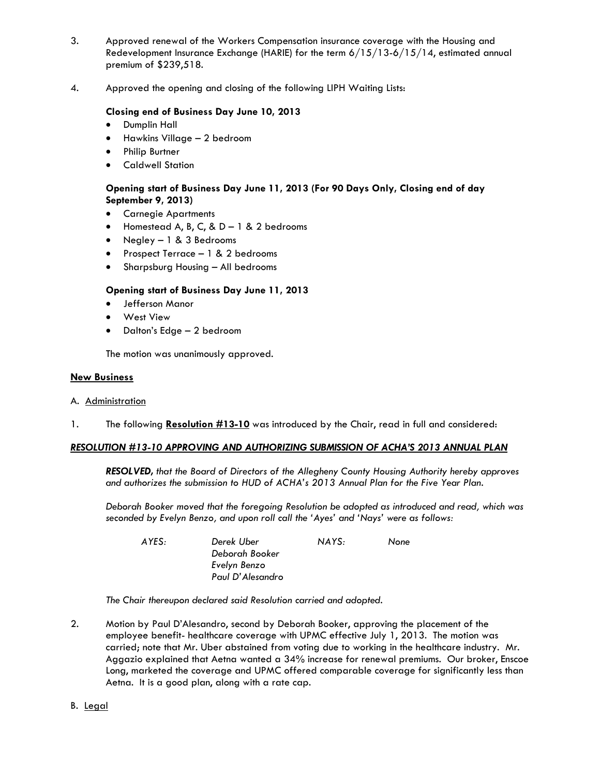- 3. Approved renewal of the Workers Compensation insurance coverage with the Housing and Redevelopment Insurance Exchange (HARIE) for the term 6/15/13-6/15/14, estimated annual premium of \$239,518.
- 4. Approved the opening and closing of the following LIPH Waiting Lists:

# **Closing end of Business Day June 10, 2013**

- **•** Dumplin Hall
- Hawkins Village 2 bedroom
- Philip Burtner
- Caldwell Station

# **Opening start of Business Day June 11, 2013 (For 90 Days Only, Closing end of day September 9, 2013)**

- Carnegie Apartments
- $\bullet$  Homestead A, B, C, & D 1 & 2 bedrooms
- Negley 1 & 3 Bedrooms
- Prospect Terrace 1 & 2 bedrooms
- Sharpsburg Housing All bedrooms

# **Opening start of Business Day June 11, 2013**

- Jefferson Manor
- West View
- Dalton's Edge 2 bedroom

The motion was unanimously approved.

#### **New Business**

## A. Administration

1. The following **Resolution #13-10** was introduced by the Chair, read in full and considered:

## *RESOLUTION #13-10 APPROVING AND AUTHORIZING SUBMISSION OF ACHA'S 2013 ANNUAL PLAN*

 *RESOLVED, that the Board of Directors of the Allegheny County Housing Authority hereby approves and authorizes the submission to HUD of ACHA's 2013 Annual Plan for the Five Year Plan.* 

*Deborah Booker moved that the foregoing Resolution be adopted as introduced and read, which was seconded by Evelyn Benzo, and upon roll call the 'Ayes' and 'Nays' were as follows:* 

| AYES: | Derek Uber       | NAYS: | None |
|-------|------------------|-------|------|
|       | Deborah Booker   |       |      |
|       | Evelyn Benzo     |       |      |
|       | Paul D'Alesandro |       |      |

 *The Chair thereupon declared said Resolution carried and adopted.* 

2. Motion by Paul D'Alesandro, second by Deborah Booker, approving the placement of the employee benefit- healthcare coverage with UPMC effective July 1, 2013. The motion was carried; note that Mr. Uber abstained from voting due to working in the healthcare industry. Mr. Aggazio explained that Aetna wanted a 34% increase for renewal premiums. Our broker, Enscoe Long, marketed the coverage and UPMC offered comparable coverage for significantly less than Aetna. It is a good plan, along with a rate cap.

B. Legal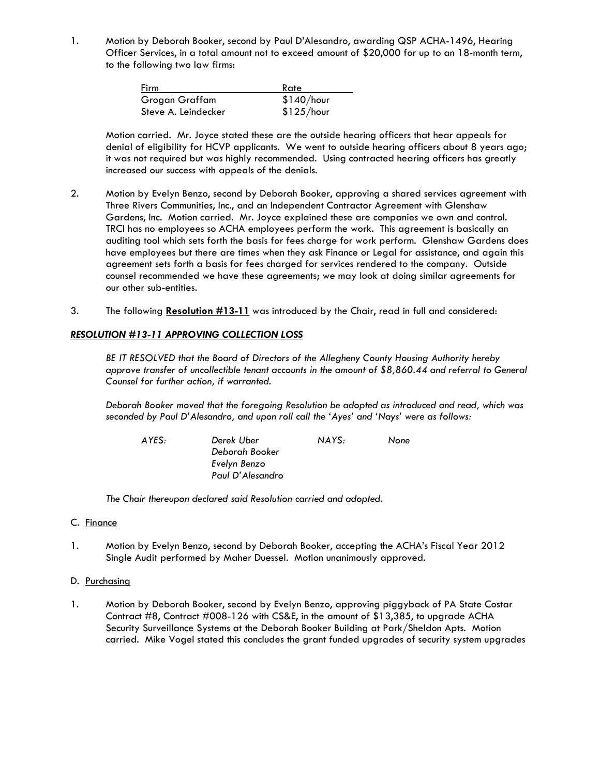1. Motion by Deborah Booker, second by Paul D'Alesandro, awarding QSP ACHA-1496, Hearing Officer Services, in a total amount not to exceed amount of \$20,000 for up to an 18-month term, to the following two law firms:

| Firm                | Rate       |
|---------------------|------------|
| Grogan Graffam      | \$140/hour |
| Steve A. Leindecker | \$125/hour |

 Motion carried. Mr. Joyce stated these are the outside hearing officers that hear appeals for denial of eligibility for HCVP applicants. We went to outside hearing officers about 8 years ago; it was not required but was highly recommended. Using contracted hearing officers has greatly increased our success with appeals of the denials.

- 2. Motion by Evelyn Benzo, second by Deborah Booker, approving a shared services agreement with Three Rivers Communities, Inc., and an Independent Contractor Agreement with Glenshaw Gardens, Inc. Motion carried. Mr. Joyce explained these are companies we own and control. TRCI has no employees so ACHA employees perform the work. This agreement is basically an auditing tool which sets forth the basis for fees charge for work perform. Glenshaw Gardens does have employees but there are times when they ask Finance or Legal for assistance, and again this agreement sets forth a basis for fees charged for services rendered to the company. Outside counsel recommended we have these agreements; we may look at doing similar agreements for our other sub-entities.
- 3. The following **Resolution #13-11** was introduced by the Chair, read in full and considered:

# *RESOLUTION #13-11 APPROVING COLLECTION LOSS*

 *BE IT RESOLVED that the Board of Directors of the Allegheny County Housing Authority hereby approve transfer of uncollectible tenant accounts in the amount of \$8,860.44 and referral to General Counsel for further action, if warranted.* 

*Deborah Booker moved that the foregoing Resolution be adopted as introduced and read, which was seconded by Paul D'Alesandro, and upon roll call the 'Ayes' and 'Nays' were as follows:* 

 *AYES: Derek Uber NAYS: None Deborah Booker Evelyn Benzo Paul D'Alesandro* 

 *The Chair thereupon declared said Resolution carried and adopted.* 

## C. Finance

1. Motion by Evelyn Benzo, second by Deborah Booker, accepting the ACHA's Fiscal Year 2012 Single Audit performed by Maher Duessel. Motion unanimously approved.

## D. Purchasing

1. Motion by Deborah Booker, second by Evelyn Benzo, approving piggyback of PA State Costar Contract #8, Contract #008-126 with CS&E, in the amount of \$13,385, to upgrade ACHA Security Surveillance Systems at the Deborah Booker Building at Park/Sheldon Apts. Motion carried. Mike Vogel stated this concludes the grant funded upgrades of security system upgrades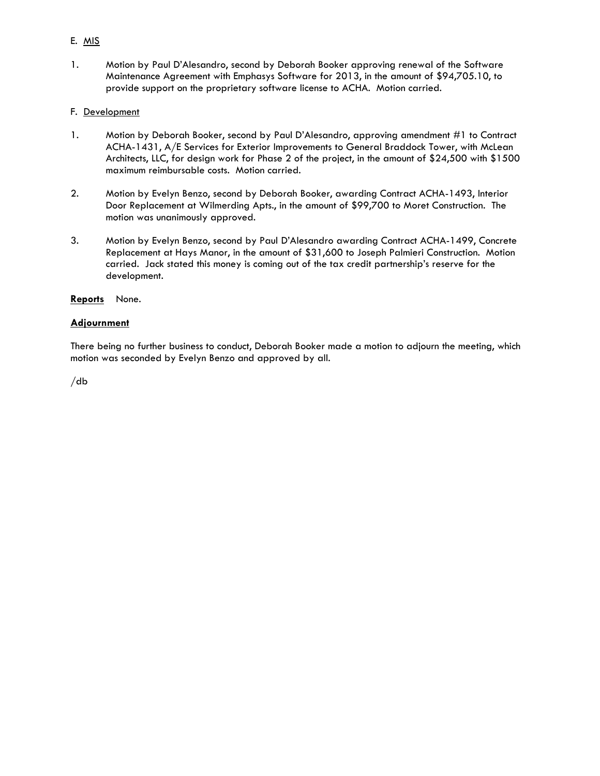# E. MIS

1. Motion by Paul D'Alesandro, second by Deborah Booker approving renewal of the Software Maintenance Agreement with Emphasys Software for 2013, in the amount of \$94,705.10, to provide support on the proprietary software license to ACHA. Motion carried.

## F. Development

- 1. Motion by Deborah Booker, second by Paul D'Alesandro, approving amendment #1 to Contract ACHA-1431, A/E Services for Exterior Improvements to General Braddock Tower, with McLean Architects, LLC, for design work for Phase 2 of the project, in the amount of \$24,500 with \$1500 maximum reimbursable costs. Motion carried.
- 2. Motion by Evelyn Benzo, second by Deborah Booker, awarding Contract ACHA-1493, Interior Door Replacement at Wilmerding Apts., in the amount of \$99,700 to Moret Construction. The motion was unanimously approved.
- 3. Motion by Evelyn Benzo, second by Paul D'Alesandro awarding Contract ACHA-1499, Concrete Replacement at Hays Manor, in the amount of \$31,600 to Joseph Palmieri Construction. Motion carried. Jack stated this money is coming out of the tax credit partnership's reserve for the development.

## **Reports** None.

# **Adjournment**

There being no further business to conduct, Deborah Booker made a motion to adjourn the meeting, which motion was seconded by Evelyn Benzo and approved by all.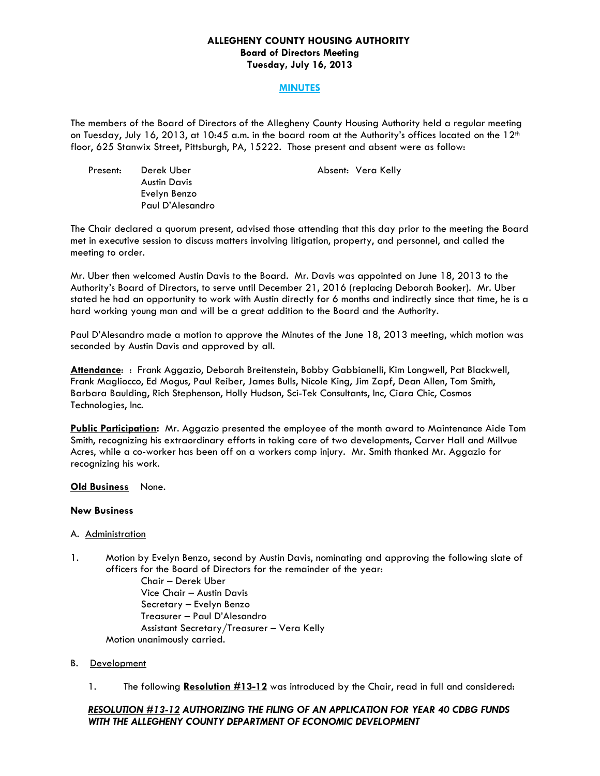## **ALLEGHENY COUNTY HOUSING AUTHORITY Board of Directors Meeting Tuesday, July 16, 2013**

## **MINUTES**

The members of the Board of Directors of the Allegheny County Housing Authority held a regular meeting on Tuesday, July 16, 2013, at 10:45 a.m. in the board room at the Authority's offices located on the  $12<sup>th</sup>$ floor, 625 Stanwix Street, Pittsburgh, PA, 15222. Those present and absent were as follow:

Present: Derek Uber **Absent: Vera Kelly**  Austin Davis Evelyn Benzo Paul D'Alesandro

The Chair declared a quorum present, advised those attending that this day prior to the meeting the Board met in executive session to discuss matters involving litigation, property, and personnel, and called the meeting to order.

Mr. Uber then welcomed Austin Davis to the Board. Mr. Davis was appointed on June 18, 2013 to the Authority's Board of Directors, to serve until December 21, 2016 (replacing Deborah Booker). Mr. Uber stated he had an opportunity to work with Austin directly for 6 months and indirectly since that time, he is a hard working young man and will be a great addition to the Board and the Authority.

Paul D'Alesandro made a motion to approve the Minutes of the June 18, 2013 meeting, which motion was seconded by Austin Davis and approved by all.

**Attendance**: : Frank Aggazio, Deborah Breitenstein, Bobby Gabbianelli, Kim Longwell, Pat Blackwell, Frank Magliocco, Ed Mogus, Paul Reiber, James Bulls, Nicole King, Jim Zapf, Dean Allen, Tom Smith, Barbara Baulding, Rich Stephenson, Holly Hudson, Sci-Tek Consultants, Inc, Ciara Chic, Cosmos Technologies, Inc.

**Public Participation:** Mr. Aggazio presented the employee of the month award to Maintenance Aide Tom Smith, recognizing his extraordinary efforts in taking care of two developments, Carver Hall and Millvue Acres, while a co-worker has been off on a workers comp injury. Mr. Smith thanked Mr. Aggazio for recognizing his work.

## **Old Business** None.

## **New Business**

## A. Administration

1. Motion by Evelyn Benzo, second by Austin Davis, nominating and approving the following slate of officers for the Board of Directors for the remainder of the year:

 Chair – Derek Uber Vice Chair – Austin Davis Secretary – Evelyn Benzo Treasurer – Paul D'Alesandro Assistant Secretary/Treasurer – Vera Kelly Motion unanimously carried.

#### B. Development

1. The following **Resolution #13-12** was introduced by the Chair, read in full and considered:

# *RESOLUTION #13-12 AUTHORIZING THE FILING OF AN APPLICATION FOR YEAR 40 CDBG FUNDS WITH THE ALLEGHENY COUNTY DEPARTMENT OF ECONOMIC DEVELOPMENT*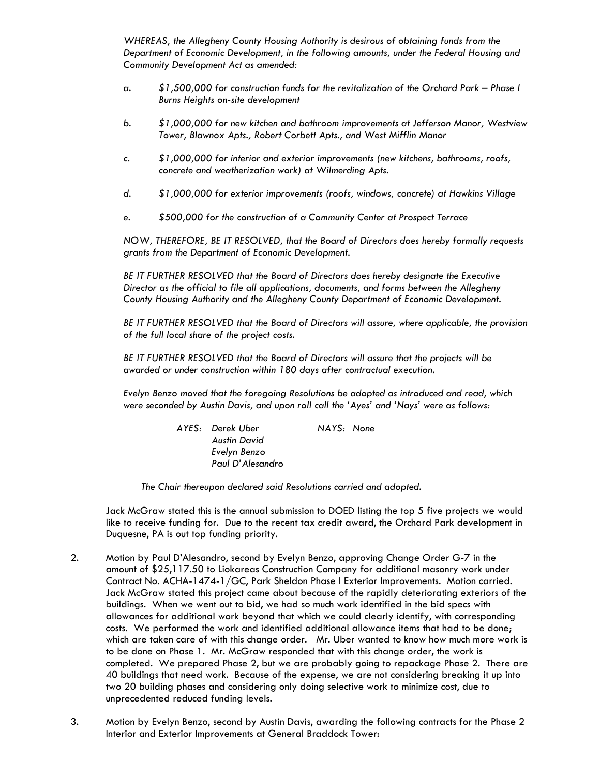*WHEREAS, the Allegheny County Housing Authority is desirous of obtaining funds from the Department of Economic Development, in the following amounts, under the Federal Housing and Community Development Act as amended:* 

- *a. \$1,500,000 for construction funds for the revitalization of the Orchard Park Phase I Burns Heights on-site development*
- *b. \$1,000,000 for new kitchen and bathroom improvements at Jefferson Manor, Westview Tower, Blawnox Apts., Robert Corbett Apts., and West Mifflin Manor*
- *c. \$1,000,000 for interior and exterior improvements (new kitchens, bathrooms, roofs, concrete and weatherization work) at Wilmerding Apts.*
- *d. \$1,000,000 for exterior improvements (roofs, windows, concrete) at Hawkins Village*
- *e. \$500,000 for the construction of a Community Center at Prospect Terrace*

 *NOW, THEREFORE, BE IT RESOLVED, that the Board of Directors does hereby formally requests grants from the Department of Economic Development.* 

 *BE IT FURTHER RESOLVED that the Board of Directors does hereby designate the Executive Director as the official to file all applications, documents, and forms between the Allegheny County Housing Authority and the Allegheny County Department of Economic Development.* 

 *BE IT FURTHER RESOLVED that the Board of Directors will assure, where applicable, the provision of the full local share of the project costs.* 

 *BE IT FURTHER RESOLVED that the Board of Directors will assure that the projects will be awarded or under construction within 180 days after contractual execution.* 

*Evelyn Benzo moved that the foregoing Resolutions be adopted as introduced and read, which were seconded by Austin Davis, and upon roll call the 'Ayes' and 'Nays' were as follows:* 

| AYES: Derek Uber    | NAYS: None |
|---------------------|------------|
| <b>Austin David</b> |            |
| Evelyn Benzo        |            |
| Paul D'Alesandro    |            |

 *The Chair thereupon declared said Resolutions carried and adopted.* 

Jack McGraw stated this is the annual submission to DOED listing the top 5 five projects we would like to receive funding for. Due to the recent tax credit award, the Orchard Park development in Duquesne, PA is out top funding priority.

- 2. Motion by Paul D'Alesandro, second by Evelyn Benzo, approving Change Order G-7 in the amount of \$25,117.50 to Liokareas Construction Company for additional masonry work under Contract No. ACHA-1474-1/GC, Park Sheldon Phase I Exterior Improvements. Motion carried. Jack McGraw stated this project came about because of the rapidly deteriorating exteriors of the buildings. When we went out to bid, we had so much work identified in the bid specs with allowances for additional work beyond that which we could clearly identify, with corresponding costs. We performed the work and identified additional allowance items that had to be done; which are taken care of with this change order. Mr. Uber wanted to know how much more work is to be done on Phase 1. Mr. McGraw responded that with this change order, the work is completed. We prepared Phase 2, but we are probably going to repackage Phase 2. There are 40 buildings that need work. Because of the expense, we are not considering breaking it up into two 20 building phases and considering only doing selective work to minimize cost, due to unprecedented reduced funding levels.
- 3. Motion by Evelyn Benzo, second by Austin Davis, awarding the following contracts for the Phase 2 Interior and Exterior Improvements at General Braddock Tower: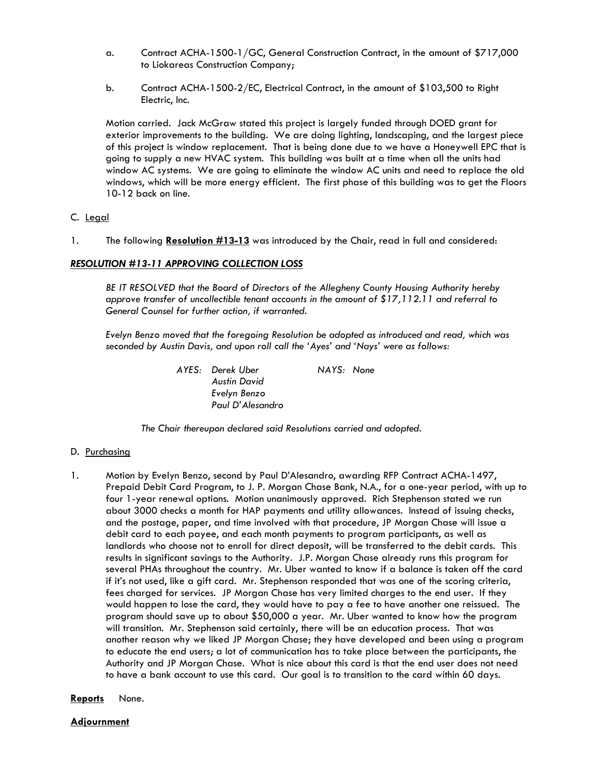- a. Contract ACHA-1500-1/GC, General Construction Contract, in the amount of \$717,000 to Liokareas Construction Company;
- b. Contract ACHA-1500-2/EC, Electrical Contract, in the amount of \$103,500 to Right Electric, Inc.

 Motion carried. Jack McGraw stated this project is largely funded through DOED grant for exterior improvements to the building. We are doing lighting, landscaping, and the largest piece of this project is window replacement. That is being done due to we have a Honeywell EPC that is going to supply a new HVAC system. This building was built at a time when all the units had window AC systems. We are going to eliminate the window AC units and need to replace the old windows, which will be more energy efficient. The first phase of this building was to get the Floors 10-12 back on line.

# C. Legal

1. The following **Resolution #13-13** was introduced by the Chair, read in full and considered:

# *RESOLUTION #13-11 APPROVING COLLECTION LOSS*

 *BE IT RESOLVED that the Board of Directors of the Allegheny County Housing Authority hereby approve transfer of uncollectible tenant accounts in the amount of \$17,112.11 and referral to General Counsel for further action, if warranted.* 

*Evelyn Benzo moved that the foregoing Resolution be adopted as introduced and read, which was seconded by Austin Davis, and upon roll call the 'Ayes' and 'Nays' were as follows:* 

> *AYES: Derek Uber NAYS: None Austin David Evelyn Benzo Paul D'Alesandro*

 *The Chair thereupon declared said Resolutions carried and adopted.* 

## D. Purchasing

- 1. Motion by Evelyn Benzo, second by Paul D'Alesandro, awarding RFP Contract ACHA-1497, Prepaid Debit Card Program, to J. P. Morgan Chase Bank, N.A., for a one-year period, with up to four 1-year renewal options. Motion unanimously approved. Rich Stephenson stated we run about 3000 checks a month for HAP payments and utility allowances. Instead of issuing checks, and the postage, paper, and time involved with that procedure, JP Morgan Chase will issue a debit card to each payee, and each month payments to program participants, as well as landlords who choose not to enroll for direct deposit, will be transferred to the debit cards. This results in significant savings to the Authority. J.P. Morgan Chase already runs this program for several PHAs throughout the country. Mr. Uber wanted to know if a balance is taken off the card if it's not used, like a gift card. Mr. Stephenson responded that was one of the scoring criteria, fees charged for services. JP Morgan Chase has very limited charges to the end user. If they would happen to lose the card, they would have to pay a fee to have another one reissued. The program should save up to about \$50,000 a year. Mr. Uber wanted to know how the program will transition. Mr. Stephenson said certainly, there will be an education process. That was another reason why we liked JP Morgan Chase; they have developed and been using a program to educate the end users; a lot of communication has to take place between the participants, the Authority and JP Morgan Chase. What is nice about this card is that the end user does not need to have a bank account to use this card. Our goal is to transition to the card within 60 days.
- **Reports** None.

**Adjournment**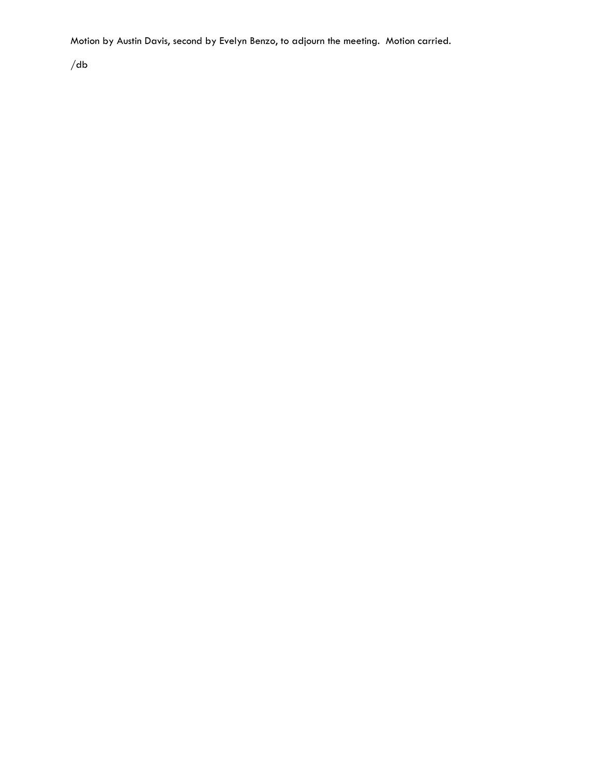Motion by Austin Davis, second by Evelyn Benzo, to adjourn the meeting. Motion carried.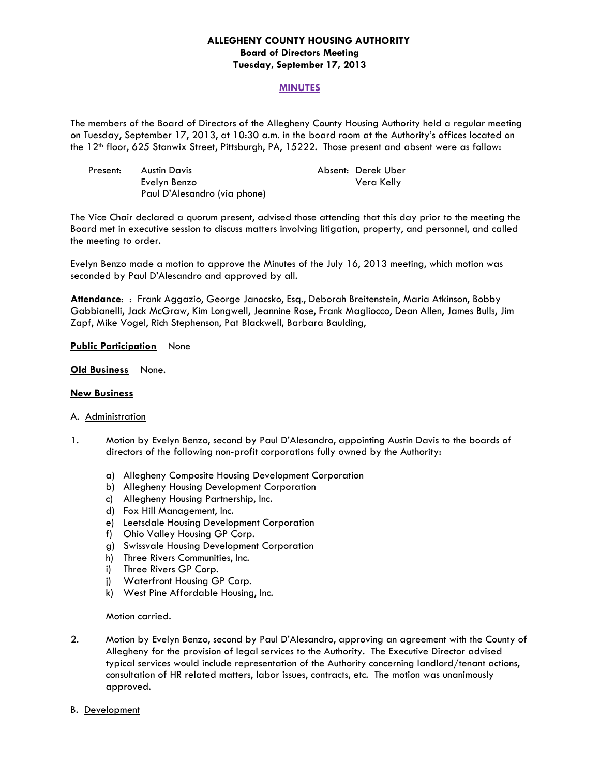## **ALLEGHENY COUNTY HOUSING AUTHORITY Board of Directors Meeting Tuesday, September 17, 2013**

#### **MINUTES**

The members of the Board of Directors of the Allegheny County Housing Authority held a regular meeting on Tuesday, September 17, 2013, at 10:30 a.m. in the board room at the Authority's offices located on the 12<sup>th</sup> floor, 625 Stanwix Street, Pittsburgh, PA, 15222. Those present and absent were as follow:

| Present: | Austin Davis                 | Absent: Derek Uber |
|----------|------------------------------|--------------------|
|          | Evelyn Benzo                 | Vera Kelly         |
|          | Paul D'Alesandro (via phone) |                    |

The Vice Chair declared a quorum present, advised those attending that this day prior to the meeting the Board met in executive session to discuss matters involving litigation, property, and personnel, and called the meeting to order.

Evelyn Benzo made a motion to approve the Minutes of the July 16, 2013 meeting, which motion was seconded by Paul D'Alesandro and approved by all.

**Attendance**: : Frank Aggazio, George Janocsko, Esq., Deborah Breitenstein, Maria Atkinson, Bobby Gabbianelli, Jack McGraw, Kim Longwell, Jeannine Rose, Frank Magliocco, Dean Allen, James Bulls, Jim Zapf, Mike Vogel, Rich Stephenson, Pat Blackwell, Barbara Baulding,

#### **Public Participation** None

**Old Business** None.

#### **New Business**

#### A. Administration

- 1. Motion by Evelyn Benzo, second by Paul D'Alesandro, appointing Austin Davis to the boards of directors of the following non-profit corporations fully owned by the Authority:
	- a) Allegheny Composite Housing Development Corporation
	- b) Allegheny Housing Development Corporation
	- c) Allegheny Housing Partnership, Inc.
	- d) Fox Hill Management, Inc.
	- e) Leetsdale Housing Development Corporation
	- f) Ohio Valley Housing GP Corp.
	- g) Swissvale Housing Development Corporation
	- h) Three Rivers Communities, Inc.
	- i) Three Rivers GP Corp.
	- j) Waterfront Housing GP Corp.
	- k) West Pine Affordable Housing, Inc.

#### Motion carried.

- 2. Motion by Evelyn Benzo, second by Paul D'Alesandro, approving an agreement with the County of Allegheny for the provision of legal services to the Authority. The Executive Director advised typical services would include representation of the Authority concerning landlord/tenant actions, consultation of HR related matters, labor issues, contracts, etc. The motion was unanimously approved.
- B. Development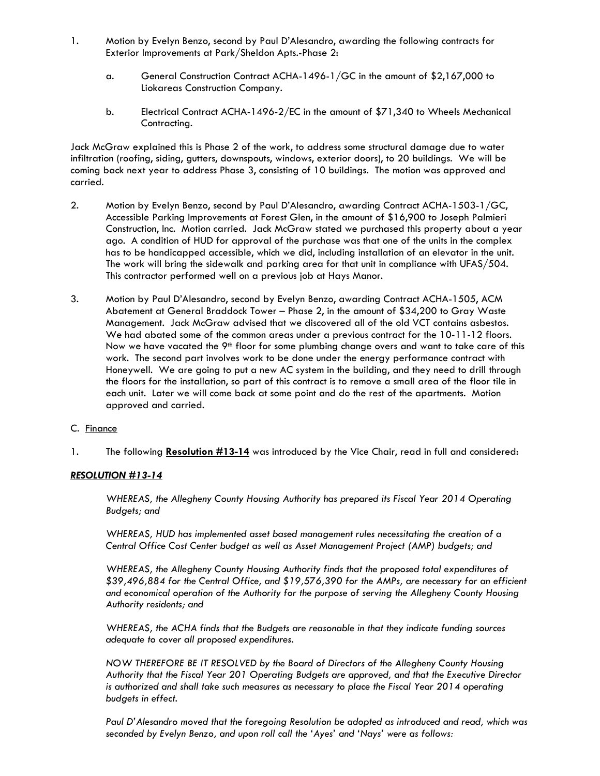- 1. Motion by Evelyn Benzo, second by Paul D'Alesandro, awarding the following contracts for Exterior Improvements at Park/Sheldon Apts.-Phase 2:
	- a. General Construction Contract ACHA-1496-1/GC in the amount of \$2,167,000 to Liokareas Construction Company.
	- b. Electrical Contract ACHA-1496-2/EC in the amount of \$71,340 to Wheels Mechanical Contracting.

Jack McGraw explained this is Phase 2 of the work, to address some structural damage due to water infiltration (roofing, siding, gutters, downspouts, windows, exterior doors), to 20 buildings. We will be coming back next year to address Phase 3, consisting of 10 buildings. The motion was approved and carried.

- 2. Motion by Evelyn Benzo, second by Paul D'Alesandro, awarding Contract ACHA-1503-1/GC, Accessible Parking Improvements at Forest Glen, in the amount of \$16,900 to Joseph Palmieri Construction, Inc. Motion carried. Jack McGraw stated we purchased this property about a year ago. A condition of HUD for approval of the purchase was that one of the units in the complex has to be handicapped accessible, which we did, including installation of an elevator in the unit. The work will bring the sidewalk and parking area for that unit in compliance with UFAS/504. This contractor performed well on a previous job at Hays Manor.
- 3. Motion by Paul D'Alesandro, second by Evelyn Benzo, awarding Contract ACHA-1505, ACM Abatement at General Braddock Tower – Phase 2, in the amount of \$34,200 to Gray Waste Management. Jack McGraw advised that we discovered all of the old VCT contains asbestos. We had abated some of the common areas under a previous contract for the 10-11-12 floors. Now we have vacated the 9<sup>th</sup> floor for some plumbing change overs and want to take care of this work. The second part involves work to be done under the energy performance contract with Honeywell. We are going to put a new AC system in the building, and they need to drill through the floors for the installation, so part of this contract is to remove a small area of the floor tile in each unit. Later we will come back at some point and do the rest of the apartments. Motion approved and carried.
- C. Finance
- 1. The following **Resolution #13-14** was introduced by the Vice Chair, read in full and considered:

## *RESOLUTION #13-14*

*WHEREAS, the Allegheny County Housing Authority has prepared its Fiscal Year 2014 Operating Budgets; and* 

*WHEREAS, HUD has implemented asset based management rules necessitating the creation of a Central Office Cost Center budget as well as Asset Management Project (AMP) budgets; and* 

*WHEREAS, the Allegheny County Housing Authority finds that the proposed total expenditures of \$39,496,884 for the Central Office, and \$19,576,390 for the AMPs, are necessary for an efficient and economical operation of the Authority for the purpose of serving the Allegheny County Housing Authority residents; and* 

*WHEREAS, the ACHA finds that the Budgets are reasonable in that they indicate funding sources adequate to cover all proposed expenditures.* 

*NOW THEREFORE BE IT RESOLVED by the Board of Directors of the Allegheny County Housing Authority that the Fiscal Year 201 Operating Budgets are approved, and that the Executive Director*  is authorized and shall take such measures as necessary to place the Fiscal Year 2014 operating *budgets in effect.* 

*Paul D'Alesandro moved that the foregoing Resolution be adopted as introduced and read, which was seconded by Evelyn Benzo, and upon roll call the 'Ayes' and 'Nays' were as follows:*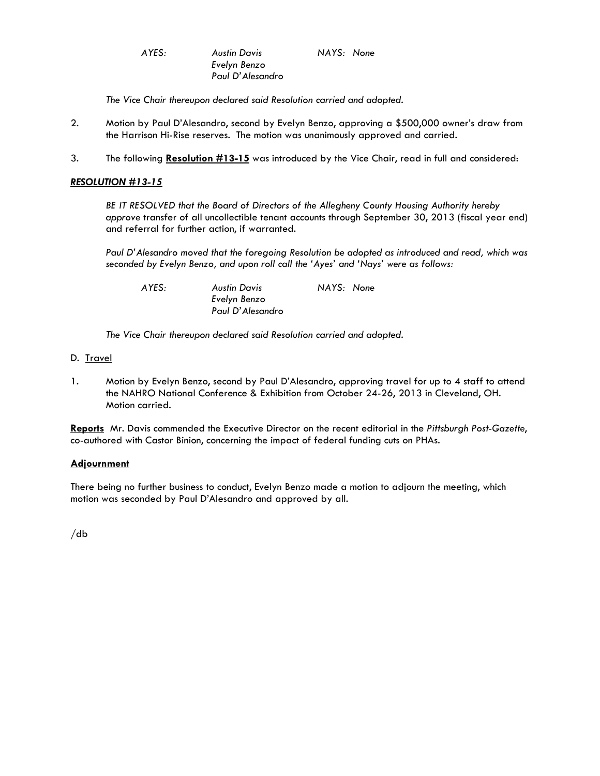*AYES: Austin Davis NAYS: None* 

 *The Vice Chair thereupon declared said Resolution carried and adopted.* 

*Evelyn Benzo Paul D'Alesandro* 

- 2. Motion by Paul D'Alesandro, second by Evelyn Benzo, approving a \$500,000 owner's draw from the Harrison Hi-Rise reserves. The motion was unanimously approved and carried.
- 3. The following **Resolution #13-15** was introduced by the Vice Chair, read in full and considered:

## *RESOLUTION #13-15*

 *BE IT RESOLVED that the Board of Directors of the Allegheny County Housing Authority hereby approve* transfer of all uncollectible tenant accounts through September 30, 2013 (fiscal year end) and referral for further action, if warranted.

*Paul D'Alesandro moved that the foregoing Resolution be adopted as introduced and read, which was seconded by Evelyn Benzo, and upon roll call the 'Ayes' and 'Nays' were as follows:* 

 *AYES: Austin Davis NAYS: None* 

 *The Vice Chair thereupon declared said Resolution carried and adopted.* 

*Evelyn Benzo Paul D'Alesandro* 

- D. Travel
- 1. Motion by Evelyn Benzo, second by Paul D'Alesandro, approving travel for up to 4 staff to attend the NAHRO National Conference & Exhibition from October 24-26, 2013 in Cleveland, OH. Motion carried.

**Reports** Mr. Davis commended the Executive Director on the recent editorial in the *Pittsburgh Post-Gazette*, co-authored with Castor Binion, concerning the impact of federal funding cuts on PHAs.

## **Adjournment**

There being no further business to conduct, Evelyn Benzo made a motion to adjourn the meeting, which motion was seconded by Paul D'Alesandro and approved by all.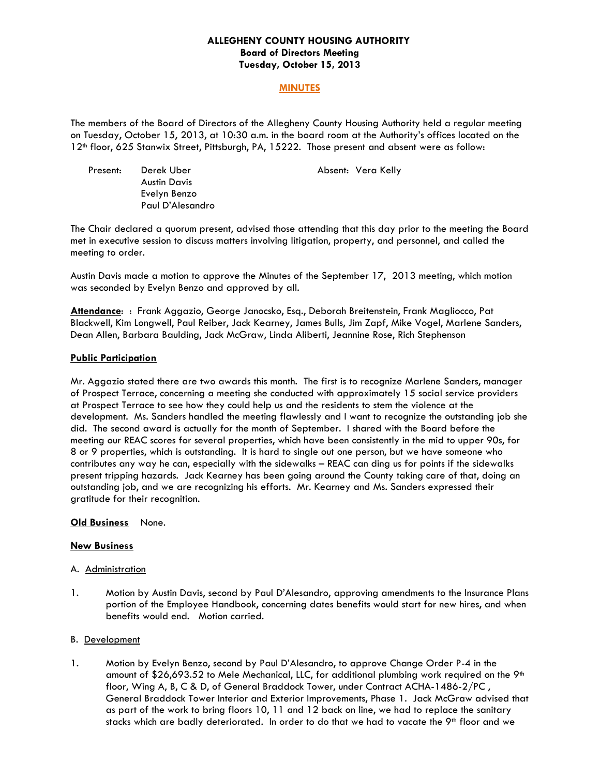## **ALLEGHENY COUNTY HOUSING AUTHORITY Board of Directors Meeting Tuesday, October 15, 2013**

## **MINUTES**

The members of the Board of Directors of the Allegheny County Housing Authority held a regular meeting on Tuesday, October 15, 2013, at 10:30 a.m. in the board room at the Authority's offices located on the 12th floor, 625 Stanwix Street, Pittsburgh, PA, 15222. Those present and absent were as follow:

| Present: | Derek Uber          |
|----------|---------------------|
|          | <b>Austin Davis</b> |
|          | Evelyn Benzo        |
|          | Paul D'Alesandro    |

Absent: Vera Kelly

The Chair declared a quorum present, advised those attending that this day prior to the meeting the Board met in executive session to discuss matters involving litigation, property, and personnel, and called the meeting to order.

Austin Davis made a motion to approve the Minutes of the September 17, 2013 meeting, which motion was seconded by Evelyn Benzo and approved by all.

**Attendance**: : Frank Aggazio, George Janocsko, Esq., Deborah Breitenstein, Frank Magliocco, Pat Blackwell, Kim Longwell, Paul Reiber, Jack Kearney, James Bulls, Jim Zapf, Mike Vogel, Marlene Sanders, Dean Allen, Barbara Baulding, Jack McGraw, Linda Aliberti, Jeannine Rose, Rich Stephenson

# **Public Participation**

Mr. Aggazio stated there are two awards this month. The first is to recognize Marlene Sanders, manager of Prospect Terrace, concerning a meeting she conducted with approximately 15 social service providers at Prospect Terrace to see how they could help us and the residents to stem the violence at the development. Ms. Sanders handled the meeting flawlessly and I want to recognize the outstanding job she did. The second award is actually for the month of September. I shared with the Board before the meeting our REAC scores for several properties, which have been consistently in the mid to upper 90s, for 8 or 9 properties, which is outstanding. It is hard to single out one person, but we have someone who contributes any way he can, especially with the sidewalks – REAC can ding us for points if the sidewalks present tripping hazards. Jack Kearney has been going around the County taking care of that, doing an outstanding job, and we are recognizing his efforts. Mr. Kearney and Ms. Sanders expressed their gratitude for their recognition.

## **Old Business** None.

## **New Business**

#### A. Administration

1. Motion by Austin Davis, second by Paul D'Alesandro, approving amendments to the Insurance Plans portion of the Employee Handbook, concerning dates benefits would start for new hires, and when benefits would end. Motion carried.

## B. Development

1. Motion by Evelyn Benzo, second by Paul D'Alesandro, to approve Change Order P-4 in the amount of \$26,693.52 to Mele Mechanical, LLC, for additional plumbing work required on the  $9<sup>th</sup>$ floor, Wing A, B, C & D, of General Braddock Tower, under Contract ACHA-1486-2/PC , General Braddock Tower Interior and Exterior Improvements, Phase 1. Jack McGraw advised that as part of the work to bring floors 10, 11 and 12 back on line, we had to replace the sanitary stacks which are badly deteriorated. In order to do that we had to vacate the  $9<sup>th</sup>$  floor and we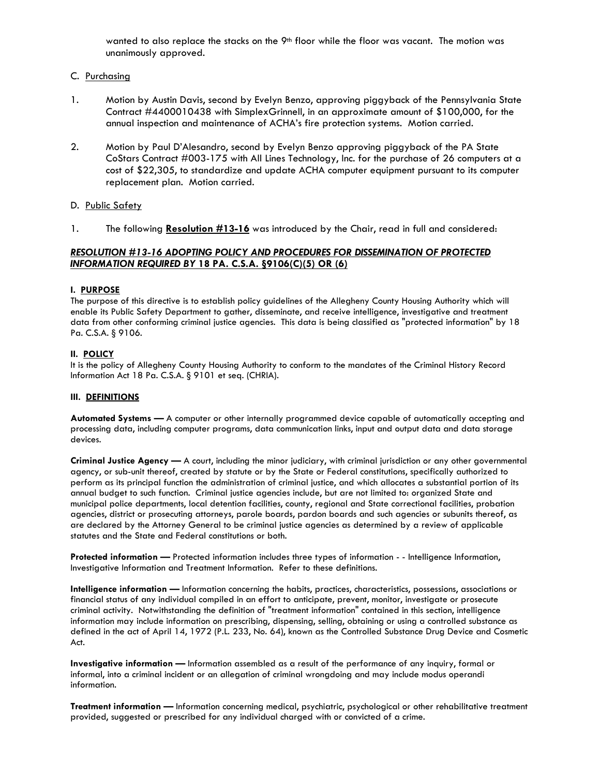wanted to also replace the stacks on the 9<sup>th</sup> floor while the floor was vacant. The motion was unanimously approved.

#### C. Purchasing

- 1. Motion by Austin Davis, second by Evelyn Benzo, approving piggyback of the Pennsylvania State Contract #4400010438 with SimplexGrinnell, in an approximate amount of \$100,000, for the annual inspection and maintenance of ACHA's fire protection systems. Motion carried.
- 2. Motion by Paul D'Alesandro, second by Evelyn Benzo approving piggyback of the PA State CoStars Contract #003-175 with All Lines Technology, Inc. for the purchase of 26 computers at a cost of \$22,305, to standardize and update ACHA computer equipment pursuant to its computer replacement plan. Motion carried.

#### D. Public Safety

1. The following **Resolution #13-16** was introduced by the Chair, read in full and considered:

## *RESOLUTION #13-16 ADOPTING POLICY AND PROCEDURES FOR DISSEMINATION OF PROTECTED INFORMATION REQUIRED BY* **18 PA. C.S.A. §9106(C)(5) OR (6)**

#### **I. PURPOSE**

The purpose of this directive is to establish policy guidelines of the Allegheny County Housing Authority which will enable its Public Safety Department to gather, disseminate, and receive intelligence, investigative and treatment data from other conforming criminal justice agencies. This data is being classified as "protected information" by 18 Pa. C.S.A. § 9106.

#### **II. POLICY**

It is the policy of Allegheny County Housing Authority to conform to the mandates of the Criminal History Record Information Act 18 Pa. C.S.A. § 9101 et seq. (CHRIA).

#### **III. DEFINITIONS**

**Automated Systems —** A computer or other internally programmed device capable of automatically accepting and processing data, including computer programs, data communication links, input and output data and data storage devices.

**Criminal Justice Agency —** A court, including the minor judiciary, with criminal jurisdiction or any other governmental agency, or sub-unit thereof, created by statute or by the State or Federal constitutions, specifically authorized to perform as its principal function the administration of criminal justice, and which allocates a substantial portion of its annual budget to such function. Criminal justice agencies include, but are not limited to: organized State and municipal police departments, local detention facilities, county, regional and State correctional facilities, probation agencies, district or prosecuting attorneys, parole boards, pardon boards and such agencies or subunits thereof, as are declared by the Attorney General to be criminal justice agencies as determined by a review of applicable statutes and the State and Federal constitutions or both.

**Protected information —** Protected information includes three types of information - - Intelligence Information, Investigative Information and Treatment Information. Refer to these definitions.

**Intelligence information —** Information concerning the habits, practices, characteristics, possessions, associations or financial status of any individual compiled in an effort to anticipate, prevent, monitor, investigate or prosecute criminal activity. Notwithstanding the definition of "treatment information" contained in this section, intelligence information may include information on prescribing, dispensing, selling, obtaining or using a controlled substance as defined in the act of April 14, 1972 (P.L. 233, No. 64), known as the Controlled Substance Drug Device and Cosmetic Act.

**Investigative information —** Information assembled as a result of the performance of any inquiry, formal or informal, into a criminal incident or an allegation of criminal wrongdoing and may include modus operandi information.

**Treatment information —** Information concerning medical, psychiatric, psychological or other rehabilitative treatment provided, suggested or prescribed for any individual charged with or convicted of a crime.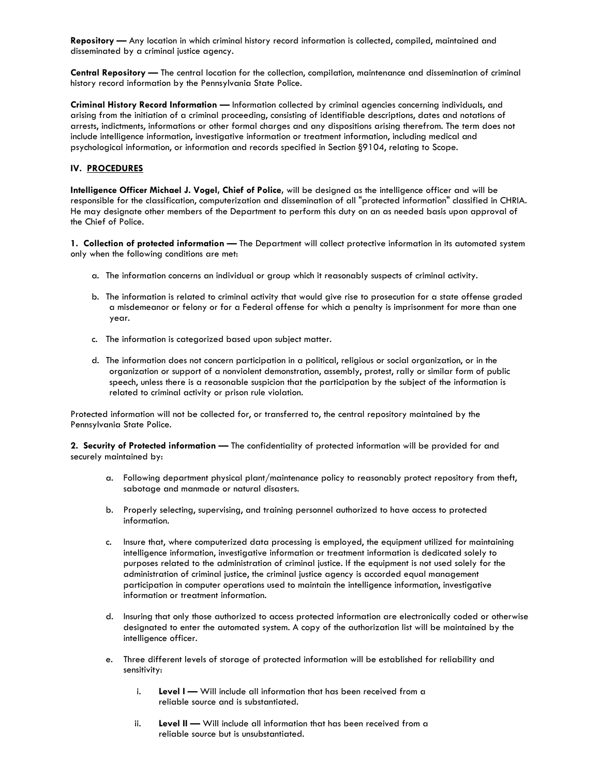**Repository —** Any location in which criminal history record information is collected, compiled, maintained and disseminated by a criminal justice agency.

**Central Repository —** The central location for the collection, compilation, maintenance and dissemination of criminal history record information by the Pennsylvania State Police.

**Criminal History Record Information —** Information collected by criminal agencies concerning individuals, and arising from the initiation of a criminal proceeding, consisting of identifiable descriptions, dates and notations of arrests, indictments, informations or other formal charges and any dispositions arising therefrom. The term does not include intelligence information, investigative information or treatment information, including medical and psychological information, or information and records specified in Section §9104, relating to Scope.

#### **IV. PROCEDURES**

**Intelligence Officer Michael J. Vogel, Chief of Police,** will be designed as the intelligence officer and will be responsible for the classification, computerization and dissemination of all "protected information" classified in CHRIA. He may designate other members of the Department to perform this duty on an as needed basis upon approval of the Chief of Police.

**1. Collection of protected information —** The Department will collect protective information in its automated system only when the following conditions are met:

- a. The information concerns an individual or group which it reasonably suspects of criminal activity.
- b. The information is related to criminal activity that would give rise to prosecution for a state offense graded a misdemeanor or felony or for a Federal offense for which a penalty is imprisonment for more than one year.
- c. The information is categorized based upon subject matter.
- d. The information does not concern participation in a political, religious or social organization, or in the organization or support of a nonviolent demonstration, assembly, protest, rally or similar form of public speech, unless there is a reasonable suspicion that the participation by the subject of the information is related to criminal activity or prison rule violation.

Protected information will not be collected for, or transferred to, the central repository maintained by the Pennsylvania State Police.

**2. Security of Protected information —** The confidentiality of protected information will be provided for and securely maintained by:

- a. Following department physical plant/maintenance policy to reasonably protect repository from theft, sabotage and manmade or natural disasters.
- b. Properly selecting, supervising, and training personnel authorized to have access to protected information.
- c. Insure that, where computerized data processing is employed, the equipment utilized for maintaining intelligence information, investigative information or treatment information is dedicated solely to purposes related to the administration of criminal justice. If the equipment is not used solely for the administration of criminal justice, the criminal justice agency is accorded equal management participation in computer operations used to maintain the intelligence information, investigative information or treatment information.
- d. Insuring that only those authorized to access protected information are electronically coded or otherwise designated to enter the automated system. A copy of the authorization list will be maintained by the intelligence officer.
- e. Three different levels of storage of protected information will be established for reliability and sensitivity:
	- i. **Level I** Will include all information that has been received from a reliable source and is substantiated.
	- ii. **Level II** Will include all information that has been received from a reliable source but is unsubstantiated.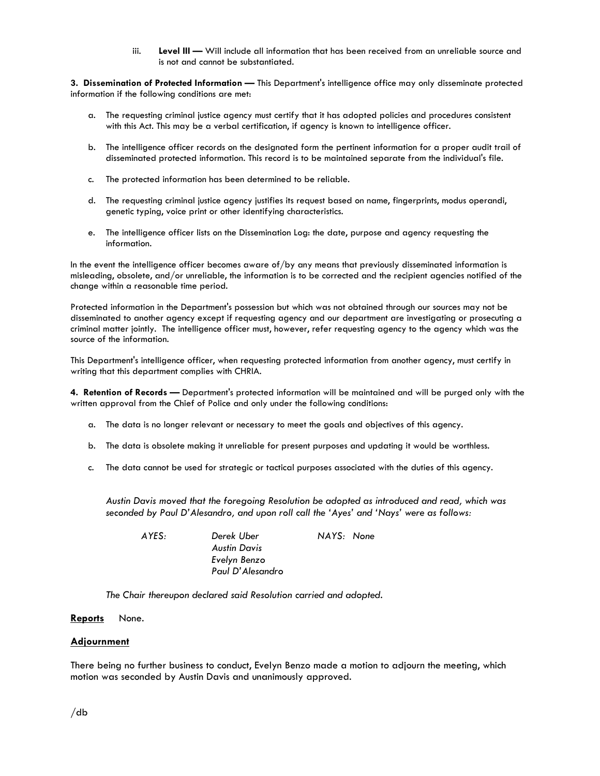iii. **Level III —** Will include all information that has been received from an unreliable source and is not and cannot be substantiated.

**3. Dissemination of Protected Information —** This Department's intelligence office may only disseminate protected information if the following conditions are met:

- a. The requesting criminal justice agency must certify that it has adopted policies and procedures consistent with this Act. This may be a verbal certification, if agency is known to intelligence officer.
- b. The intelligence officer records on the designated form the pertinent information for a proper audit trail of disseminated protected information. This record is to be maintained separate from the individual's file.
- c. The protected information has been determined to be reliable.
- d. The requesting criminal justice agency justifies its request based on name, fingerprints, modus operandi, genetic typing, voice print or other identifying characteristics.
- e. The intelligence officer lists on the Dissemination Log: the date, purpose and agency requesting the information.

In the event the intelligence officer becomes aware of/by any means that previously disseminated information is misleading, obsolete, and/or unreliable, the information is to be corrected and the recipient agencies notified of the change within a reasonable time period.

Protected information in the Department's possession but which was not obtained through our sources may not be disseminated to another agency except if requesting agency and our department are investigating or prosecuting a criminal matter jointly. The intelligence officer must, however, refer requesting agency to the agency which was the source of the information.

This Department's intelligence officer, when requesting protected information from another agency, must certify in writing that this department complies with CHRIA.

**4. Retention of Records —** Department's protected information will be maintained and will be purged only with the written approval from the Chief of Police and only under the following conditions:

- a. The data is no longer relevant or necessary to meet the goals and objectives of this agency.
- b. The data is obsolete making it unreliable for present purposes and updating it would be worthless.
- c. The data cannot be used for strategic or tactical purposes associated with the duties of this agency.

*Austin Davis moved that the foregoing Resolution be adopted as introduced and read, which was seconded by Paul D'Alesandro, and upon roll call the 'Ayes' and 'Nays' were as follows:* 

 *AYES: Derek Uber NAYS: None* 

 *The Chair thereupon declared said Resolution carried and adopted.* 

*Austin Davis Evelyn Benzo Paul D'Alesandro* 

#### **Reports** None.

#### **Adjournment**

There being no further business to conduct, Evelyn Benzo made a motion to adjourn the meeting, which motion was seconded by Austin Davis and unanimously approved.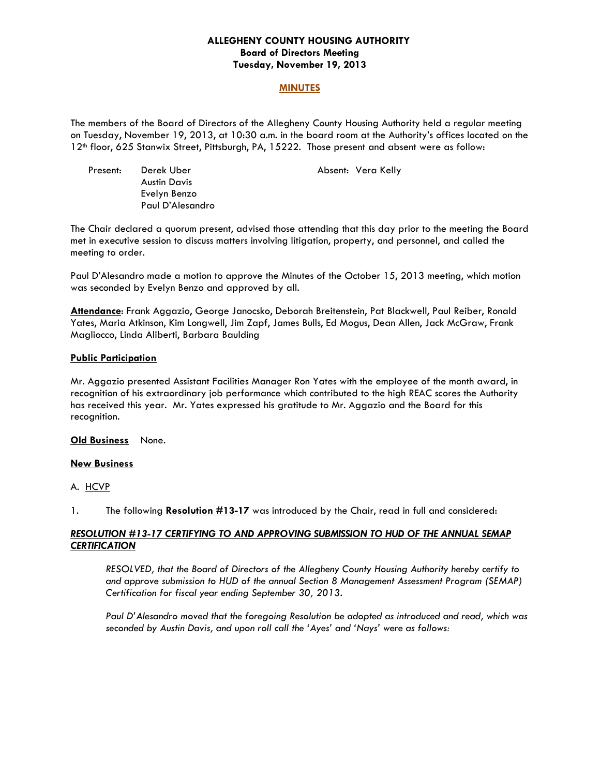## **ALLEGHENY COUNTY HOUSING AUTHORITY Board of Directors Meeting Tuesday, November 19, 2013**

#### **MINUTES**

The members of the Board of Directors of the Allegheny County Housing Authority held a regular meeting on Tuesday, November 19, 2013, at 10:30 a.m. in the board room at the Authority's offices located on the 12th floor, 625 Stanwix Street, Pittsburgh, PA, 15222. Those present and absent were as follow:

| Present: | Derek Uber          |
|----------|---------------------|
|          | <b>Austin Davis</b> |
|          | Evelyn Benzo        |
|          | Paul D'Alesandro    |

Absent: Vera Kelly

The Chair declared a quorum present, advised those attending that this day prior to the meeting the Board met in executive session to discuss matters involving litigation, property, and personnel, and called the meeting to order.

Paul D'Alesandro made a motion to approve the Minutes of the October 15, 2013 meeting, which motion was seconded by Evelyn Benzo and approved by all.

**Attendance**: Frank Aggazio, George Janocsko, Deborah Breitenstein, Pat Blackwell, Paul Reiber, Ronald Yates, Maria Atkinson, Kim Longwell, Jim Zapf, James Bulls, Ed Mogus, Dean Allen, Jack McGraw, Frank Magliocco, Linda Aliberti, Barbara Baulding

## **Public Participation**

Mr. Aggazio presented Assistant Facilities Manager Ron Yates with the employee of the month award, in recognition of his extraordinary job performance which contributed to the high REAC scores the Authority has received this year. Mr. Yates expressed his gratitude to Mr. Aggazio and the Board for this recognition.

**Old Business** None.

## **New Business**

A. HCVP

1. The following **Resolution #13-17** was introduced by the Chair, read in full and considered:

## *RESOLUTION #13-17 CERTIFYING TO AND APPROVING SUBMISSION TO HUD OF THE ANNUAL SEMAP CERTIFICATION*

*RESOLVED, that the Board of Directors of the Allegheny County Housing Authority hereby certify to*  and approve submission to HUD of the annual Section 8 Management Assessment Program (SEMAP) *Certification for fiscal year ending September 30, 2013.* 

*Paul D'Alesandro moved that the foregoing Resolution be adopted as introduced and read, which was seconded by Austin Davis, and upon roll call the 'Ayes' and 'Nays' were as follows:*